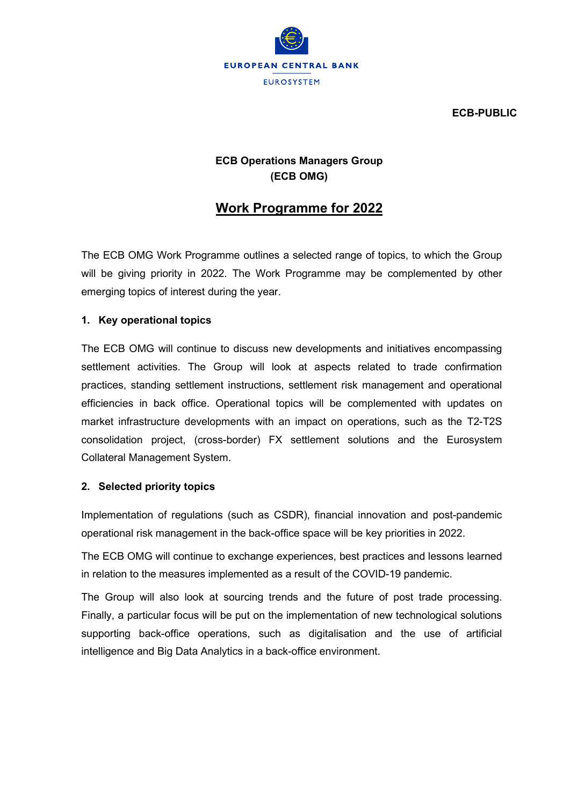

ECB-PUBLIC

## ECB Operations Managers Group (ECB OMG)

# Work Programme for 2022

The ECB OMG Work Programme outlines a selected range of topics, to which the Group will be giving priority in 2022. The Work Programme may be complemented by other emerging topics of interest during the year.

#### 1. Key operational topics

The ECB OMG will continue to discuss new developments and initiatives encompassing settlement activities. The Group will look at aspects related to trade confirmation practices, standing settlement instructions, settlement risk management and operational efficiencies in back office. Operational topics will be complemented with updates on market infrastructure developments with an impact on operations, such as the T2-T2S consolidation project, (cross-border) FX settlement solutions and the Eurosystem Collateral Management System.

#### 2. Selected priority topics

Implementation of regulations (such as CSDR), financial innovation and post-pandemic operational risk management in the back-office space will be key priorities in 2022.

The ECB OMG will continue to exchange experiences, best practices and lessons learned in relation to the measures implemented as a result of the COVID-19 pandemic.

The Group will also look at sourcing trends and the future of post trade processing. Finally, a particular focus will be put on the implementation of new technological solutions supporting back-office operations, such as digitalisation and the use of artificial intelligence and Big Data Analytics in a back-office environment.